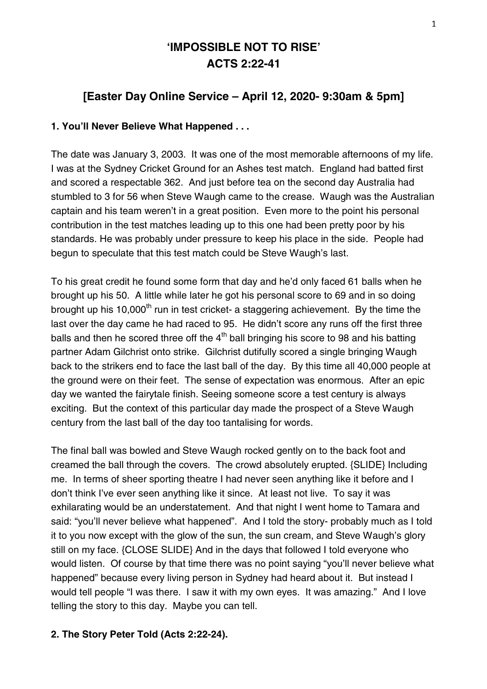# **'IMPOSSIBLE NOT TO RISE' ACTS 2:22-41**

# **[Easter Day Online Service – April 12, 2020- 9:30am & 5pm]**

### **1. You'll Never Believe What Happened . . .**

The date was January 3, 2003. It was one of the most memorable afternoons of my life. I was at the Sydney Cricket Ground for an Ashes test match. England had batted first and scored a respectable 362. And just before tea on the second day Australia had stumbled to 3 for 56 when Steve Waugh came to the crease. Waugh was the Australian captain and his team weren't in a great position. Even more to the point his personal contribution in the test matches leading up to this one had been pretty poor by his standards. He was probably under pressure to keep his place in the side. People had begun to speculate that this test match could be Steve Waugh's last.

To his great credit he found some form that day and he'd only faced 61 balls when he brought up his 50. A little while later he got his personal score to 69 and in so doing brought up his 10.000<sup>th</sup> run in test cricket- a staggering achievement. By the time the last over the day came he had raced to 95. He didn't score any runs off the first three balls and then he scored three off the  $4<sup>th</sup>$  ball bringing his score to 98 and his batting partner Adam Gilchrist onto strike. Gilchrist dutifully scored a single bringing Waugh back to the strikers end to face the last ball of the day. By this time all 40,000 people at the ground were on their feet. The sense of expectation was enormous. After an epic day we wanted the fairytale finish. Seeing someone score a test century is always exciting. But the context of this particular day made the prospect of a Steve Waugh century from the last ball of the day too tantalising for words.

The final ball was bowled and Steve Waugh rocked gently on to the back foot and creamed the ball through the covers. The crowd absolutely erupted. {SLIDE} Including me. In terms of sheer sporting theatre I had never seen anything like it before and I don't think I've ever seen anything like it since. At least not live. To say it was exhilarating would be an understatement. And that night I went home to Tamara and said: "you'll never believe what happened". And I told the story- probably much as I told it to you now except with the glow of the sun, the sun cream, and Steve Waugh's glory still on my face. {CLOSE SLIDE} And in the days that followed I told everyone who would listen. Of course by that time there was no point saying "you'll never believe what happened" because every living person in Sydney had heard about it. But instead I would tell people "I was there. I saw it with my own eyes. It was amazing." And I love telling the story to this day. Maybe you can tell.

#### **2. The Story Peter Told (Acts 2:22-24).**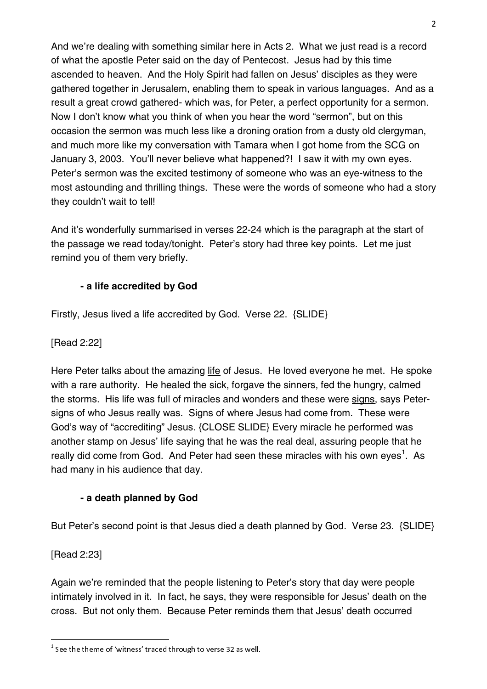And we're dealing with something similar here in Acts 2. What we just read is a record of what the apostle Peter said on the day of Pentecost. Jesus had by this time ascended to heaven. And the Holy Spirit had fallen on Jesus' disciples as they were gathered together in Jerusalem, enabling them to speak in various languages. And as a result a great crowd gathered- which was, for Peter, a perfect opportunity for a sermon. Now I don't know what you think of when you hear the word "sermon", but on this occasion the sermon was much less like a droning oration from a dusty old clergyman, and much more like my conversation with Tamara when I got home from the SCG on January 3, 2003. You'll never believe what happened?! I saw it with my own eyes. Peter's sermon was the excited testimony of someone who was an eye-witness to the most astounding and thrilling things. These were the words of someone who had a story they couldn't wait to tell!

And it's wonderfully summarised in verses 22-24 which is the paragraph at the start of the passage we read today/tonight. Peter's story had three key points. Let me just remind you of them very briefly.

# **- a life accredited by God**

Firstly, Jesus lived a life accredited by God. Verse 22. {SLIDE}

[Read 2:22]

Here Peter talks about the amazing life of Jesus. He loved everyone he met. He spoke with a rare authority. He healed the sick, forgave the sinners, fed the hungry, calmed the storms. His life was full of miracles and wonders and these were signs, says Petersigns of who Jesus really was. Signs of where Jesus had come from. These were God's way of "accrediting" Jesus. {CLOSE SLIDE} Every miracle he performed was another stamp on Jesus' life saying that he was the real deal, assuring people that he really did come from God. And Peter had seen these miracles with his own eyes<sup>1</sup>. As had many in his audience that day.

# **- a death planned by God**

But Peter's second point is that Jesus died a death planned by God. Verse 23. {SLIDE}

[Read 2:23]

Again we're reminded that the people listening to Peter's story that day were people intimately involved in it. In fact, he says, they were responsible for Jesus' death on the cross. But not only them. Because Peter reminds them that Jesus' death occurred

 $^1$  See the theme of 'witness' traced through to verse 32 as well.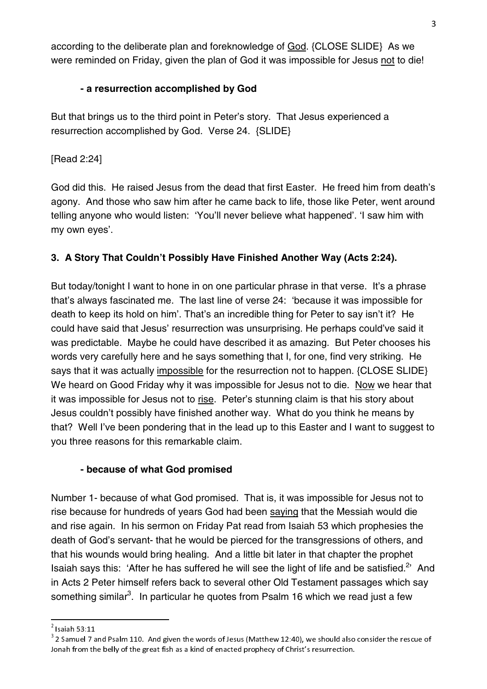according to the deliberate plan and foreknowledge of **God.** {CLOSE SLIDE} As we were reminded on Friday, given the plan of God it was impossible for Jesus not to die!

# **- a resurrection accomplished by God**

But that brings us to the third point in Peter's story. That Jesus experienced a resurrection accomplished by God. Verse 24. {SLIDE}

[Read 2:24]

God did this. He raised Jesus from the dead that first Easter. He freed him from death's agony. And those who saw him after he came back to life, those like Peter, went around telling anyone who would listen: 'You'll never believe what happened'. 'I saw him with my own eyes'.

# **3. A Story That Couldn't Possibly Have Finished Another Way (Acts 2:24).**

But today/tonight I want to hone in on one particular phrase in that verse. It's a phrase that's always fascinated me. The last line of verse 24: 'because it was impossible for death to keep its hold on him'. That's an incredible thing for Peter to say isn't it? He could have said that Jesus' resurrection was unsurprising. He perhaps could've said it was predictable. Maybe he could have described it as amazing. But Peter chooses his words very carefully here and he says something that I, for one, find very striking. He says that it was actually impossible for the resurrection not to happen. {CLOSE SLIDE} We heard on Good Friday why it was impossible for Jesus not to die. Now we hear that it was impossible for Jesus not to rise. Peter's stunning claim is that his story about Jesus couldn't possibly have finished another way. What do you think he means by that? Well I've been pondering that in the lead up to this Easter and I want to suggest to you three reasons for this remarkable claim.

### **- because of what God promised**

Number 1- because of what God promised. That is, it was impossible for Jesus not to rise because for hundreds of years God had been saying that the Messiah would die and rise again. In his sermon on Friday Pat read from Isaiah 53 which prophesies the death of God's servant- that he would be pierced for the transgressions of others, and that his wounds would bring healing. And a little bit later in that chapter the prophet Isaiah says this: 'After he has suffered he will see the light of life and be satisfied.<sup>2</sup>' And in Acts 2 Peter himself refers back to several other Old Testament passages which say something similar<sup>3</sup>. In particular he quotes from Psalm 16 which we read just a few

 2

Isaiah 53:11<br><sup>3</sup> 2 Samuel 7 and Psalm 110. And given the words of Jesus (Matthew 12:40), we should also consider the rescue of Jonah from the belly of the great fish as a kind of enacted prophecy of Christ's resurrection.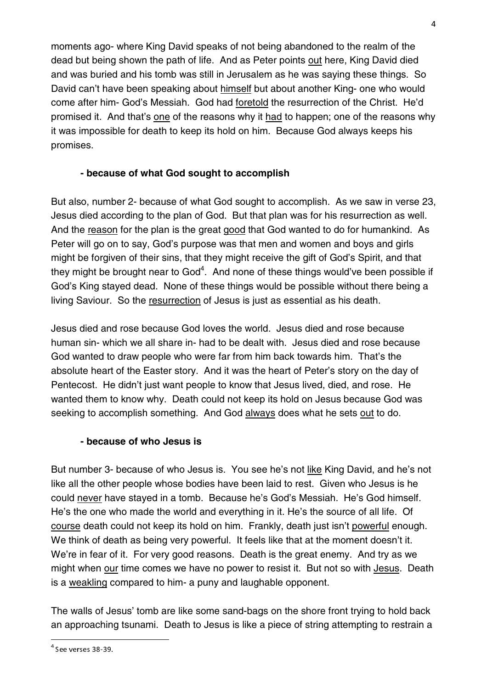moments ago- where King David speaks of not being abandoned to the realm of the dead but being shown the path of life. And as Peter points out here, King David died and was buried and his tomb was still in Jerusalem as he was saying these things. So David can't have been speaking about himself but about another King- one who would come after him- God's Messiah. God had foretold the resurrection of the Christ. He'd promised it. And that's one of the reasons why it had to happen; one of the reasons why it was impossible for death to keep its hold on him. Because God always keeps his promises.

## **- because of what God sought to accomplish**

But also, number 2- because of what God sought to accomplish. As we saw in verse 23, Jesus died according to the plan of God. But that plan was for his resurrection as well. And the reason for the plan is the great good that God wanted to do for humankind. As Peter will go on to say, God's purpose was that men and women and boys and girls might be forgiven of their sins, that they might receive the gift of God's Spirit, and that they might be brought near to God $^4$ . And none of these things would've been possible if God's King stayed dead. None of these things would be possible without there being a living Saviour. So the resurrection of Jesus is just as essential as his death.

Jesus died and rose because God loves the world. Jesus died and rose because human sin- which we all share in- had to be dealt with. Jesus died and rose because God wanted to draw people who were far from him back towards him. That's the absolute heart of the Easter story. And it was the heart of Peter's story on the day of Pentecost. He didn't just want people to know that Jesus lived, died, and rose. He wanted them to know why. Death could not keep its hold on Jesus because God was seeking to accomplish something. And God always does what he sets out to do.

### **- because of who Jesus is**

But number 3- because of who Jesus is. You see he's not like King David, and he's not like all the other people whose bodies have been laid to rest. Given who Jesus is he could never have stayed in a tomb. Because he's God's Messiah. He's God himself. He's the one who made the world and everything in it. He's the source of all life. Of course death could not keep its hold on him. Frankly, death just isn't powerful enough. We think of death as being very powerful. It feels like that at the moment doesn't it. We're in fear of it. For very good reasons. Death is the great enemy. And try as we might when our time comes we have no power to resist it. But not so with Jesus. Death is a weakling compared to him- a puny and laughable opponent.

The walls of Jesus' tomb are like some sand-bags on the shore front trying to hold back an approaching tsunami. Death to Jesus is like a piece of string attempting to restrain a

 $^4$  See verses 38-39.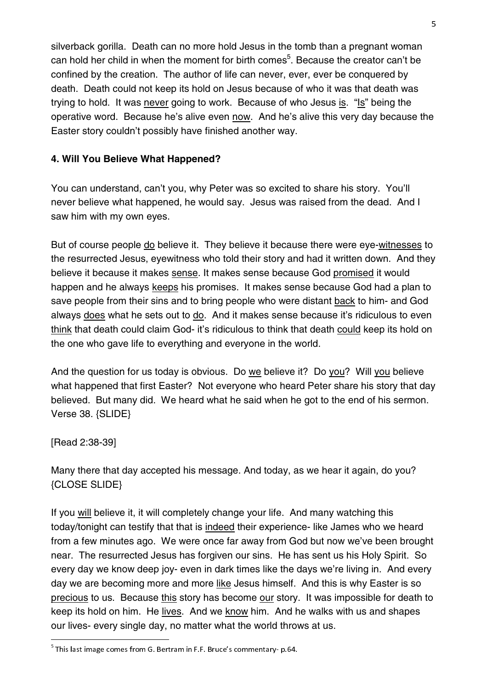silverback gorilla. Death can no more hold Jesus in the tomb than a pregnant woman can hold her child in when the moment for birth comes<sup>5</sup>. Because the creator can't be confined by the creation. The author of life can never, ever, ever be conquered by death. Death could not keep its hold on Jesus because of who it was that death was trying to hold. It was never going to work. Because of who Jesus is. "Is" being the operative word. Because he's alive even now. And he's alive this very day because the Easter story couldn't possibly have finished another way.

#### **4. Will You Believe What Happened?**

You can understand, can't you, why Peter was so excited to share his story. You'll never believe what happened, he would say. Jesus was raised from the dead. And I saw him with my own eyes.

But of course people do believe it. They believe it because there were eye-witnesses to the resurrected Jesus, eyewitness who told their story and had it written down. And they believe it because it makes sense. It makes sense because God promised it would happen and he always keeps his promises. It makes sense because God had a plan to save people from their sins and to bring people who were distant back to him- and God always does what he sets out to do. And it makes sense because it's ridiculous to even think that death could claim God- it's ridiculous to think that death could keep its hold on the one who gave life to everything and everyone in the world.

And the question for us today is obvious. Do we believe it? Do you? Will you believe what happened that first Easter? Not everyone who heard Peter share his story that day believed. But many did. We heard what he said when he got to the end of his sermon. Verse 38. {SLIDE}

[Read 2:38-39]

Many there that day accepted his message. And today, as we hear it again, do you? {CLOSE SLIDE}

If you will believe it, it will completely change your life. And many watching this today/tonight can testify that that is indeed their experience- like James who we heard from a few minutes ago. We were once far away from God but now we've been brought near. The resurrected Jesus has forgiven our sins. He has sent us his Holy Spirit. So every day we know deep joy- even in dark times like the days we're living in. And every day we are becoming more and more like Jesus himself. And this is why Easter is so precious to us. Because this story has become our story. It was impossible for death to keep its hold on him. He lives. And we know him. And he walks with us and shapes our lives- every single day, no matter what the world throws at us.

 $^5$  This last image comes from G. Bertram in F.F. Bruce's commentary- p.64.